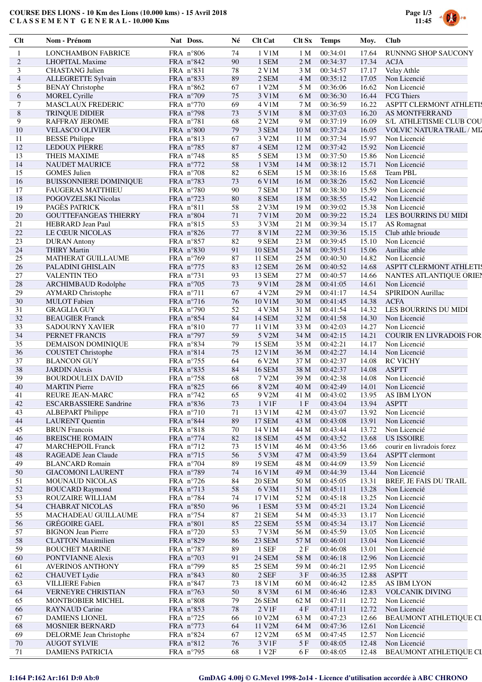## **COURSE DES LIONS - 10 Km des Lions (10.000 kms) - 15 Avril 2018 C L A S S E M E N T G E N E R A L - 10.000 Kms**



| Clt                      | Nom - Prénom                                       | Nat Doss.                       | Né       | <b>Clt Cat</b>         | Clt Sx                             | <b>Temps</b>         | Moy.           | <b>Club</b>                                      |
|--------------------------|----------------------------------------------------|---------------------------------|----------|------------------------|------------------------------------|----------------------|----------------|--------------------------------------------------|
| 1                        | <b>LONCHAMBON FABRICE</b>                          | FRA n°806                       | 74       | 1 V1M                  | 1 M                                | 00:34:01             | 17.64          | <b>RUNNNG SHOP SAUCONY</b>                       |
| $\overline{c}$           | <b>LHOPITAL Maxime</b>                             | FRA n°842                       | 90       | 1 SEM                  | 2 M                                | 00:34:37             | 17.34          | <b>ACJA</b>                                      |
| 3                        | <b>CHASTANG</b> Julien                             | FRA n°831                       | 78       | 2 V1M                  | 3 M                                | 00:34:57             | 17.17          | Velay Athle                                      |
| $\overline{\mathcal{A}}$ | ALLEGRETTE Sylvain                                 | FRA n°833                       | 89       | 2 SEM                  | 4 M                                | 00:35:12             | 17.05          | Non Licencié                                     |
| 5                        | <b>BENAY</b> Christophe                            | FRA $n^{\circ}862$              | 67       | 1 V2M                  | 5 M                                | 00:36:06             | 16.62          | Non Licencié                                     |
| 6                        | <b>MOREL Cyrille</b>                               | FRA n°709                       | 75       | 3 V1M                  | 6 M                                | 00:36:30             | 16.44          | <b>FCG Thiers</b>                                |
| 7                        | MASCLAUX FREDERIC                                  | FRA $n^{\circ}770$              | 69       | 4 V1M                  | 7 M                                | 00:36:59             | 16.22          | <b>ASPTT CLERMONT ATHLETIS</b>                   |
| $\,$ 8 $\,$              | TRINQUE DIDIER                                     | FRA $n°798$                     | 73       | 5 V1M                  | 8 M                                | 00:37:03             | 16.20          | AS MONTFERRAND                                   |
| 9<br>10                  | <b>RAFFRAY JEROME</b><br><b>VELASCO OLIVIER</b>    | FRA $n^{\circ}781$              | 68<br>79 | 2 V2M                  | 9 M                                | 00:37:19             | 16.09<br>16.05 | S/L ATHLETISME CLUB COU                          |
| 11                       | <b>BESSE</b> Philippe                              | FRA $n°800$<br>FRA n°813        | 67       | 3 SEM<br>3 V2M         | 10 <sub>M</sub><br>11 <sub>M</sub> | 00:37:24<br>00:37:34 | 15.97          | <b>VOLVIC NATURA TRAIL / MIZ</b><br>Non Licencié |
| 12                       | <b>LEDOUX PIERRE</b>                               | FRA n°785                       | 87       | 4 SEM                  | 12M                                | 00:37:42             | 15.92          | Non Licencié                                     |
| 13                       | <b>THEIS MAXIME</b>                                | FRA $n^{\circ}$ 748             | 85       | 5 SEM                  | 13 M                               | 00:37:50             | 15.86          | Non Licencié                                     |
| 14                       | <b>NAUDET MAURICE</b>                              | FRA n°772                       | 58       | 1 V3M                  | 14 M                               | 00:38:12             | 15.71          | Non Licencié                                     |
| 15                       | <b>GOMES</b> Julien                                | FRA $n°708$                     | 82       | 6 SEM                  | 15 M                               | 00:38:16             | 15.68          | <b>Team PBL</b>                                  |
| 16                       | <b>BUISSONNIERE DOMINIQUE</b>                      | FRA n°783                       | 73       | 6 V1M                  | 16 <sub>M</sub>                    | 00:38:26             | 15.62          | Non Licencié                                     |
| 17                       | <b>FAUGERAS MATTHIEU</b>                           | FRA n°780                       | 90       | 7 SEM                  | 17 <sub>M</sub>                    | 00:38:30             | 15.59          | Non Licencié                                     |
| 18                       | POGOVZELSKI Nicolas                                | FRA n°723                       | 80       | 8 SEM                  | 18 M                               | 00:38:55             | 15.42          | Non Licencié                                     |
| 19                       | PAGÈS PATRICK                                      | FRA n°811                       | 58       | 2 V3M                  | 19 <sub>M</sub>                    | 00:39:02             | 15.38          | Non Licencié                                     |
| 20                       | <b>GOUTTEFANGEAS THIERRY</b>                       | FRA n°804                       | 71       | 7 V1M                  | 20 M                               | 00:39:22             | 15.24          | LES BOURRINS DU MIDI                             |
| 21                       | <b>HEBRARD</b> Jean Paul                           | FRA n°815                       | 53       | 3 V3M                  | 21 M                               | 00:39:34             | 15.17          | AS Romagnat                                      |
| $22\,$                   | LE CŒUR NICOLAS                                    | FRA $n^{\circ}826$              | 77       | 8 V1M                  | 22 M                               | 00:39:36             | 15.15          | Club athle brioude                               |
| 23                       | <b>DURAN</b> Antony                                | FRA n°857                       | 82       | 9 SEM                  | 23 M                               | 00:39:45             | 15.10          | Non Licencié                                     |
| 24                       | <b>THIRY Martin</b>                                | FRA n°830                       | 91       | <b>10 SEM</b>          | 24 M                               | 00:39:51             | 15.06          | Aurillac athle                                   |
| 25                       | <b>MATHERAT GUILLAUME</b>                          | FRA $n°769$                     | 87       | <b>11 SEM</b>          | 25 M                               | 00:40:30             | 14.82          | Non Licencié                                     |
| 26                       | PALADINI GHISLAIN                                  | FRA n°775                       | 83       | 12 SEM                 | 26 M                               | 00:40:52             | 14.68          | ASPTT CLERMONT ATHLETIS                          |
| $27\,$                   | <b>VALENTIN TEO</b>                                | FRA n°731                       | 93       | 13 SEM                 | 27 M                               | 00:40:57             | 14.66          | NANTES ATLANTIQUE ORIEN                          |
| $28\,$                   | ARCHIMBAUD Rodolphe                                | FRA n°705                       | 73       | 9 V1M                  | 28 M                               | 00:41:05             | 14.61          | Non Licencié                                     |
| 29                       | <b>AYMARD</b> Christophe                           | FRA n°711                       | 67       | 4 V2M                  | 29 M                               | 00:41:17             | 14.54          | SPIRIDON Aurillac                                |
| 30                       | <b>MULOT</b> Fabien                                | FRA $n^{\circ}$ 716             | 76       | 10 V1M                 | 30 M                               | 00:41:45             | 14.38          | <b>ACFA</b>                                      |
| 31<br>32                 | <b>GRAGLIA GUY</b>                                 | FRA $n°790$                     | 52<br>84 | 4 V3M<br><b>14 SEM</b> | 31 M                               | 00:41:54             | 14.32<br>14.30 | LES BOURRINS DU MIDI<br>Non Licencié             |
| 33                       | <b>BEAUGIER Franck</b><br>SADOURNY XAVIER          | FRA n°854<br>FRA $n°810$        | 77       | 11 V1M                 | 32 M<br>33 M                       | 00:41:58<br>00:42:03 | 14.27          | Non Licencié                                     |
| 34                       | PERNET FRANCIS                                     | FRA $n°797$                     | 59       | 5 V2M                  | 34 M                               | 00:42:15             | 14.21          | <b>COURIR EN LIVRADOIS FOR</b>                   |
| 35                       | DEMAISON DOMINIQUE                                 | FRA n°834                       | 79       | 15 SEM                 | 35 M                               | 00:42:21             | 14.17          | Non Licencié                                     |
| 36                       | <b>COUSTET Christophe</b>                          | FRA n°814                       | 75       | 12 V1M                 | 36 M                               | 00:42:27             | 14.14          | Non Licencié                                     |
| 37                       | <b>BLANCON GUY</b>                                 | FRA n°755                       | 64       | 6 V2M                  | 37 M                               | 00:42:37             | 14.08          | <b>RC VICHY</b>                                  |
| 38                       | <b>JARDIN</b> Alexis                               | FRA n°835                       | 84       | <b>16 SEM</b>          | 38 M                               | 00:42:37             | 14.08          | <b>ASPTT</b>                                     |
| 39                       | <b>BOURDOULEIX DAVID</b>                           | FRA $n^{\circ}758$              | 68       | 7 V2M                  | 39 M                               | 00:42:38             | 14.08          | Non Licencié                                     |
| 40                       | <b>MARTIN</b> Pierre                               | FRA n°825                       | 66       | 8 V2M                  | 40 M                               | 00:42:49             | 14.01          | Non Licencié                                     |
| 41                       | REURE JEAN-MARC                                    | FRA $n^{\circ}$ 742             | 65       | 9 V2M                  | 41 M                               | 00:43:02             | 13.95          | AS IBM LYON                                      |
| 42                       | <b>ESCARBASSIERE Sandrine</b>                      | FRA n°836                       | 73       | 1 V1F                  | 1F                                 | 00:43:04             | 13.94          | <b>ASPTT</b>                                     |
| 43                       | <b>ALBEPART Philippe</b>                           | FRA n°710                       | 71       | 13 V1M                 | 42 M                               | 00:43:07             | 13.92          | Non Licencié                                     |
| 44                       | <b>LAURENT</b> Ouentin                             | FRA n°844                       | 89       | <b>17 SEM</b>          | 43 M                               | 00:43:08             | 13.91          | Non Licencié                                     |
| 45                       | <b>BRUN</b> Francois                               | FRA n°818                       | 70       | 14 V1M                 | 44 M                               | 00:43:44             | 13.72          | Non Licencié                                     |
| 46                       | <b>BREISCHE ROMAIN</b>                             | FRA $n^{\circ}$ 774             | 82       | <b>18 SEM</b>          | 45 M                               | 00:43:52             | 13.68          | <b>US ISSOIRE</b>                                |
| 47                       | <b>MARCHEPOIL Franck</b>                           | FRA n°712                       | 73       | 15 V1M                 | 46 M                               | 00:43:56             | 13.66          | courir en livradois forez                        |
| 48                       | RAGEADE Jean Claude                                | FRA $n^{\circ}$ 715             | 56       | 5 V3M                  | 47 M                               | 00:43:59             | 13.64          | <b>ASPTT</b> clermont                            |
| 49                       | <b>BLANCARD Romain</b>                             | FRA n°704                       | 89       | <b>19 SEM</b>          | 48 M                               | 00:44:09             | 13.59          | Non Licencié                                     |
| 50                       | <b>GIACOMONI LAURENT</b>                           | FRA n°789                       | 74       | 16 V1M                 | 49 M                               | 00:44:39             | 13.44          | Non Licencié                                     |
| 51                       | <b>MOUNAUD NICOLAS</b>                             | FRA $n^{\circ}$ 726             | 84       | <b>20 SEM</b>          | 50 M                               | 00:45:05             | 13.31          | BREF, JE FAIS DU TRAIL                           |
| 52                       | <b>BOUCARD Raymond</b>                             | FRA n°713                       | 58       | 6 V3M                  | 51 M                               | 00:45:11             | 13.28          | Non Licencié                                     |
| 53                       | ROUZAIRE WILLIAM                                   | FRA n°784                       | 74       | 17 V1M                 | 52 M                               | 00:45:18             | 13.25          | Non Licencié                                     |
| 54                       | <b>CHABRAT NICOLAS</b>                             | FRA n°850                       | 96       | 1 ESM                  | 53 M                               | 00:45:21             | 13.24          | Non Licencié                                     |
| 55                       | MACHADEAU GUILLAUME                                | FRA $n^{\circ}$ 754             | 87       | 21 SEM                 | 54 M                               | 00:45:33             | 13.17          | Non Licencié                                     |
| 56                       | <b>GRÉGOIRE GAEL</b>                               | FRA n°801                       | 85       | <b>22 SEM</b>          | 55 M                               | 00:45:34             | 13.17          | Non Licencié                                     |
| 57                       | <b>BIGNON Jean Pierre</b>                          | FRA n°720                       | 53       | 7 V3M                  | 56 M                               | 00:45:59             | 13.05<br>13.04 | Non Licencié                                     |
| 58<br>59                 | <b>CLATTON Maximilien</b><br><b>BOUCHET MARINE</b> | FRA n°829<br>FRA $n^{\circ}787$ | 86<br>89 | 23 SEM<br>1 SEF        | 57 M<br>2F                         | 00:46:01<br>00:46:08 | 13.01          | Non Licencié<br>Non Licencié                     |
| 60                       | PONTVIANNE Alexis                                  | FRA $n^{\circ}703$              | 91       | <b>24 SEM</b>          | 58 M                               | 00:46:18             | 12.96          | Non Licencié                                     |
| 61                       | <b>AVERINOS ANTHONY</b>                            | FRA n°799                       | 85       | <b>25 SEM</b>          | 59 M                               | 00:46:21             | 12.95          | Non Licencié                                     |
| 62                       | <b>CHAUVET</b> Lydie                               | FRA n°843                       | 80       | $2$ SEF                | 3F                                 | 00:46:35             | 12.88          | <b>ASPTT</b>                                     |
| 63                       | <b>VILLIERE Fabien</b>                             | FRA n°847                       | 73       | 18 V1M                 | 60 M                               | 00:46:42             | 12.85          | AS IBM LYON                                      |
| 64                       | VERNEYRE CHRISTIAN                                 | FRA $n^{\circ}$ 763             | 50       | 8 V3M                  | 61 M                               | 00:46:46             | 12.83          | <b>VOLCANIK DIVING</b>                           |
| 65                       | <b>MONTBOBIER MICHEL</b>                           | FRA n°808                       | 79       | <b>26 SEM</b>          | 62 M                               | 00:47:11             | 12.72          | Non Licencié                                     |
| 66                       | <b>RAYNAUD Carine</b>                              | FRA n°853                       | 78       | 2 V1F                  | 4F                                 | 00:47:11             | 12.72          | Non Licencié                                     |
| 67                       | <b>DAMIENS LIONEL</b>                              | FRA n°725                       | 66       | 10 V2M                 | 63 M                               | 00:47:23             | 12.66          | <b>BEAUMONT ATHLETIQUE CL</b>                    |
| 68                       | <b>MOSNIER BERNARD</b>                             | FRA $n^{\circ}773$              | 64       | 11 V2M                 | 64 M                               | 00:47:36             | 12.61          | Non Licencié                                     |
| 69                       | DELORME Jean Christophe                            | FRA n°824                       | 67       | 12 V2M                 | 65 M                               | 00:47:45             | 12.57          | Non Licencié                                     |
| $70\,$                   | <b>AUGOT SYLVIE</b>                                | FRA n°812                       | 76       | 3 V1F                  | 5 F                                | 00:48:05             | 12.48          | Non Licencié                                     |
| 71                       | <b>DAMIENS PATRICIA</b>                            | FRA n°795                       | 68       | 1 V <sub>2F</sub>      | 6 F                                | 00:48:05             | 12.48          | <b>BEAUMONT ATHLETIQUE CL</b>                    |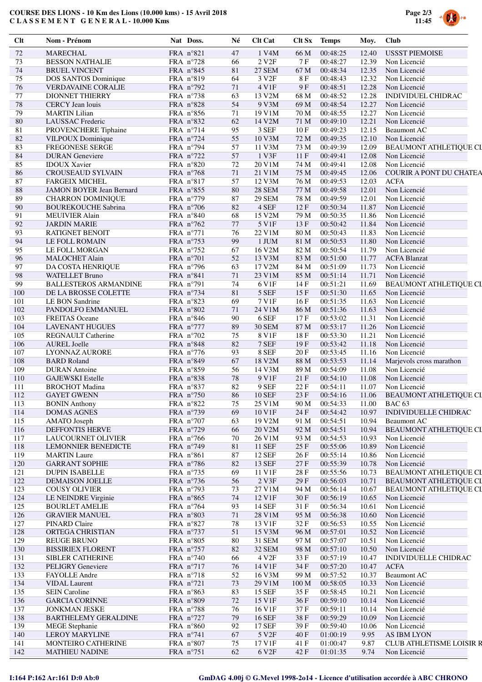## **COURSE DES LIONS - 10 Km des Lions (10.000 kms) - 15 Avril 2018 C L A S S E M E N T G E N E R A L - 10.000 Kms**



| Clt         | Nom - Prénom                 | Nat Doss.           | Né     | <b>Clt Cat</b>    | Clt Sx           | <b>Temps</b> | Moy.  | <b>Club</b>                   |
|-------------|------------------------------|---------------------|--------|-------------------|------------------|--------------|-------|-------------------------------|
| $72\,$      | <b>MARECHAL</b>              | FRA n°821           | 47     | 1 V4M             | 66 M             | 00:48:25     | 12.40 | <b>USSST PIEMOISE</b>         |
| 73          | <b>BESSON NATHALIE</b>       | FRA n°728           | 66     | 2 V2F             | 7F               | 00:48:27     | 12.39 | Non Licencié                  |
| 74          | <b>BRUEL VINCENT</b>         | FRA n°845           | 81     | <b>27 SEM</b>     | 67 M             | 00:48:34     | 12.35 | Non Licencié                  |
| 75          | DOS SANTOS Dominique         | FRA n°819           | 64     | 3 V2F             | $8\ \mathrm{F}$  | 00:48:43     | 12.32 | Non Licencié                  |
| 76          | VERDAVAINE CORALIE           | FRA n°792           | 71     | 4 V1F             | 9F               | 00:48:51     | 12.28 | Non Licencié                  |
| 77          | <b>DIONNET THIERRY</b>       | FRA n°738           | 63     | 13 V2M            | 68 M             | 00:48:52     | 12.28 | INDIVIDUEL CHIDRAC            |
| 78          | CERCY Jean louis             | FRA n°828           | 54     | 9 V3M             | 69 M             | 00:48:54     | 12.27 | Non Licencié                  |
| 79          | <b>MARTIN Lilian</b>         | FRA n°856           | 71     | 19 V1M            | 70 M             | 00:48:55     | 12.27 | Non Licencié                  |
| 80          | LAUSSAC Frederic             | FRA n°832           | 62     | 14 V2M            | 71 M             | 00:49:10     | 12.21 | Non Licencié                  |
| $8\sqrt{1}$ | PROVENCHERE Tiphaine         | FRA n°714           | 95     | 3 SEF             | 10F              | 00:49:23     | 12.15 | <b>Beaumont AC</b>            |
| 82          | VILPOUX Dominique            | FRA n°724           | 55     | 10 V3M            | 72 M             | 00:49:35     | 12.10 | Non Licencié                  |
| 83          | FREGONESE SERGE              | FRA n°794           | 57     | 11 V3M            | 73 M             | 00:49:39     | 12.09 | BEAUMONT ATHLETIQUE CL        |
| 84          | <b>DURAN</b> Geneviere       | FRA n°722           | 57     | 1 V3F             | 11F              | 00:49:41     | 12.08 | Non Licencié                  |
| 85          | <b>IDOUX Xavier</b>          | FRA n°820           | 72     | 20 V1M            | 74 M             | 00:49:41     | 12.08 | Non Licencié                  |
| 86          | <b>CROUSEAUD SYLVAIN</b>     | FRA n°768           | 71     | 21 V1M            | 75 M             | 00:49:45     | 12.06 | COURIR A PONT DU CHATEA       |
| 87          | <b>FARGEIX MICHEL</b>        | FRA n°817           | 57     | 12 V3M            | 76 M             | 00:49:53     | 12.03 | <b>ACFA</b>                   |
| 88          | JAMON BOYER Jean Bernard     | FRA n°855           | 80     | <b>28 SEM</b>     | 77 M             | 00:49:58     | 12.01 | Non Licencié                  |
| 89          | <b>CHARRON DOMINIQUE</b>     | FRA n°779           | 87     | <b>29 SEM</b>     | 78 M             | 00:49:59     | 12.01 | Non Licencié                  |
| 90          | <b>BOUREKOUCHE Sabrina</b>   | FRA n°706           | 82     | 4 SEF             | 12F              | 00:50:34     | 11.87 | Non Licencié                  |
| 91          | <b>MEUIVIER Alain</b>        | FRA n°840           | 68     | 15 V2M            | 79 M             | 00:50:35     | 11.86 | Non Licencié                  |
| 92          | <b>JARDIN MARIE</b>          | FRA n°762           | 77     | 5 V1F             | 13F              | 00:50:42     | 11.84 | Non Licencié                  |
| 93          | <b>RATIGNET BENOIT</b>       | FRA n°771           | 76     | 22 V1M            | 80 M             | 00:50:43     | 11.83 | Non Licencié                  |
| 94          | LE FOLL ROMAIN               | FRA n°753           | 99     | 1 JUM             | 81 M             | 00:50:53     | 11.80 | Non Licencié                  |
| 95          |                              |                     | 67     |                   | 82 M             | 00:50:54     | 11.79 |                               |
|             | LE FOLL MORGAN               | FRA n°752           |        | 16 V2M            |                  |              |       | Non Licencié                  |
| 96          | <b>MALOCHET Alain</b>        | FRA n°701           | 52     | 13 V3M            | 83 M             | 00:51:00     | 11.77 | <b>ACFA Blanzat</b>           |
| 97          | DA COSTA HENRIQUE            | FRA $n^{\circ}$ 796 | 63     | 17 V2M            | 84 M             | 00:51:09     | 11.73 | Non Licencié                  |
| 98          | <b>WATELLET Bruno</b>        | FRA n°841           | 71     | 23 V1M            | 85 M             | 00:51:14     | 11.71 | Non Licencié                  |
| 99          | <b>BALLESTEROS ARMANDINE</b> | FRA n°791           | 74     | 6 V1F             | 14 F             | 00:51:21     | 11.69 | BEAUMONT ATHLETIQUE CL        |
| 100         | DE LA BROSSE COLETTE         | FRA n°734           | 81     | 5 SEF             | 15F              | 00:51:30     | 11.65 | Non Licencié                  |
| 101         | LE BON Sandrine              | FRA n°823           | 69     | 7 V1F             | 16F              | 00:51:35     | 11.63 | Non Licencié                  |
| 102         | PANDOLFO EMMANUEL            | FRA n°802           | 71     | 24 V1M            | 86 M             | 00:51:36     | 11.63 | Non Licencié                  |
| 103         | <b>FREITAS</b> Oceane        | FRA n°846           | $90\,$ | 6 SEF             | 17F              | 00:53:02     | 11.31 | Non Licencié                  |
| 104         | <b>LAVENANT HUGUES</b>       | FRA n°777           | 89     | <b>30 SEM</b>     | 87 M             | 00:53:17     | 11.26 | Non Licencié                  |
| 105         | <b>REGNAULT</b> Catherine    | FRA n°702           | 75     | 8 V1F             | 18 F             | 00:53:30     | 11.21 | Non Licencié                  |
| 106         | <b>AUREL Joelle</b>          | FRA n°848           | 82     | 7 SEF             | 19F              | 00:53:42     | 11.18 | Non Licencié                  |
| 107         | LYONNAZ AURORE               | FRA $n^{\circ}776$  | 93     | 8 SEF             | 20 F             | 00:53:45     | 11.16 | Non Licencié                  |
| 108         | <b>BARD Roland</b>           | FRA n°849           | 67     | 18 V2M            | 88 M             | 00:53:53     | 11.14 | Marjevols cross marathon      |
| 109         | <b>DURAN</b> Antoine         | FRA n°859           | 56     | 14 V3M            | 89 M             | 00:54:09     | 11.08 | Non Licencié                  |
| 110         | <b>GAJEWSKI</b> Estelle      | FRA n°838           | 78     | 9 V1F             | 21F              | 00:54:10     | 11.08 | Non Licencié                  |
| 111         | <b>BROCHOT</b> Madina        | FRA n°837           | 82     | 9 SEF             | 22F              | 00:54:11     | 11.07 | Non Licencié                  |
| 112         | <b>GAYET GWENN</b>           | FRA n°750           | 86     | <b>10 SEF</b>     | 23 F             | 00:54:16     | 11.06 | <b>BEAUMONT ATHLETIQUE CL</b> |
| 113         | <b>BONIN Anthony</b>         | FRA n°822           | 75     | 25 V1M            | 90 M             | 00:54:33     | 11.00 | <b>BAC 63</b>                 |
| 114         | <b>DOMAS AGNES</b>           | FRA n°739           | 69     | 10 V1F            | 24 F             | 00:54:42     | 10.97 | INDIVIDUELLE CHIDRAC          |
| 115         | AMATO Joseph                 | FRA n°707           | 63     | 19 V2M            | 91 M             | 00:54:51     | 10.94 | <b>Beaumont AC</b>            |
| 116         | <b>DEFFONTIS HERVE</b>       | FRA n°729           | 66     | 20 V2M            | 92 M             | 00:54:51     | 10.94 | <b>BEAUMONT ATHLETIQUE CL</b> |
| 117         | <b>LAUCOURNET OLIVIER</b>    | FRA $n^{\circ}$ 766 | 70     | 26 V1M            | 93 M             | 00:54:53     | 10.93 | Non Licencié                  |
| 118         | <b>LEMONNIER BENEDICTE</b>   | FRA $n^{\circ}$ 749 | 81     | 11 SEF            | 25 F             | 00:55:06     | 10.89 | Non Licencié                  |
| 119         | <b>MARTIN</b> Laure          | FRA n°861           | 87     | 12 SEF            | 26 F             | 00:55:14     | 10.86 | Non Licencié                  |
| 120         | <b>GARRANT SOPHIE</b>        | FRA n°786           | 82     | 13 SEF            | 27 F             | 00:55:39     | 10.78 | Non Licencié                  |
| 121         | <b>DUPIN ISABELLE</b>        | FRA $n^{\circ}$ 735 | 69     | 11 V1F            | 28F              | 00:55:56     | 10.73 | <b>BEAUMONT ATHLETIQUE CL</b> |
|             |                              | FRA n°736           |        | 2 V3F             |                  | 00:56:03     |       | <b>BEAUMONT ATHLETIQUE CL</b> |
| 122         | DEMAISON JOELLE              |                     | 56     |                   | 29 F             |              | 10.71 |                               |
| 123         | <b>COUSY OLIVIER</b>         | FRA $n°793$         | 73     | 27 V1M            | 94 M             | 00:56:14     | 10.67 | <b>BEAUMONT ATHLETIQUE CL</b> |
| 124         | LE NEINDRE Virginie          | FRA n°865           | 74     | 12 V1F            | 30 F             | 00:56:19     | 10.65 | Non Licencié                  |
| 125         | <b>BOURLET AMELIE</b>        | FRA n°764           | 93     | 14 SEF            | 31 F             | 00:56:34     | 10.61 | Non Licencié                  |
| 126         | <b>GRAVIER MANUEL</b>        | FRA n°803           | 71     | 28 V1M            | 95 M             | 00:56:38     | 10.60 | Non Licencié                  |
| 127         | PINARD Claire                | FRA n°827           | 78     | 13 V1F            | 32 F             | 00:56:53     | 10.55 | Non Licencié                  |
| 128         | ORTEGA CHRISTIAN             | FRA n°737           | 51     | 15 V3M            | 96 M             | 00:57:01     | 10.52 | Non Licencié                  |
| 129         | <b>REUGE BRUNO</b>           | FRA n°805           | 80     | 31 SEM            | 97 M             | 00:57:07     | 10.51 | Non Licencié                  |
| 130         | <b>BISSIRIEX FLORENT</b>     | FRA n°757           | 82     | 32 SEM            | 98 M             | 00:57:10     | 10.50 | Non Licencié                  |
| 131         | <b>SIBLER CATHERINE</b>      | FRA $n^{\circ}740$  | 66     | 4 V <sub>2F</sub> | 33 F             | 00:57:19     | 10.47 | <b>INDIVIDUELLE CHIDRAC</b>   |
| 132         | PELIGRY Geneviere            | FRA n°717           | 76     | 14 V1F            | 34 F             | 00:57:20     | 10.47 | <b>ACFA</b>                   |
| 133         | FAYOLLE Andre                | FRA n°718           | 52     | 16 V3M            | 99 M             | 00:57:52     | 10.37 | <b>Beaumont AC</b>            |
| 134         | <b>VIDAL</b> Laurent         | FRA $n^{\circ}721$  | 73     | 29 V1M            | 100 <sub>M</sub> | 00:58:05     | 10.33 | Non Licencié                  |
| 135         | <b>SEIN Caroline</b>         | FRA n°863           | 83     | 15 SEF            | 35 F             | 00:58:45     | 10.21 | Non Licencié                  |
| 136         | <b>GARCIA CORINNE</b>        | FRA n°809           | 72     | 15 V1F            | 36 F             | 00:59:10     | 10.14 | Non Licencié                  |
| 137         | <b>JONKMAN JESKE</b>         | FRA n°788           | 76     | 16 V1F            | 37 F             | 00:59:11     | 10.14 | Non Licencié                  |
| 138         | <b>BARTHELEMY GERALDINE</b>  | FRA n°727           | 79     | <b>16 SEF</b>     | 38F              | 00:59:29     | 10.09 | Non Licencié                  |
| 139         | <b>MEGE</b> Stephanie        | FRA n°860           | 92     | 17 SEF            | 39 F             | 00:59:40     | 10.06 | Non Licencié                  |
| 140         | <b>LEROY MARYLINE</b>        | FRA n°741           | 67     | 5 V <sub>2F</sub> | 40 F             | 01:00:19     | 9.95  | AS IBM LYON                   |
| 141         | MONTEIRO CATHERINE           | FRA n°807           | 75     | 17 V1F            | 41 F             | 01:00:47     | 9.87  | CLUB ATHLETISME LOISIR R      |
| 142         | <b>MATHIEU NADINE</b>        | FRA n°751           | 62     | 6 V2F             | 42F              | 01:01:35     | 9.74  | Non Licencié                  |
|             |                              |                     |        |                   |                  |              |       |                               |